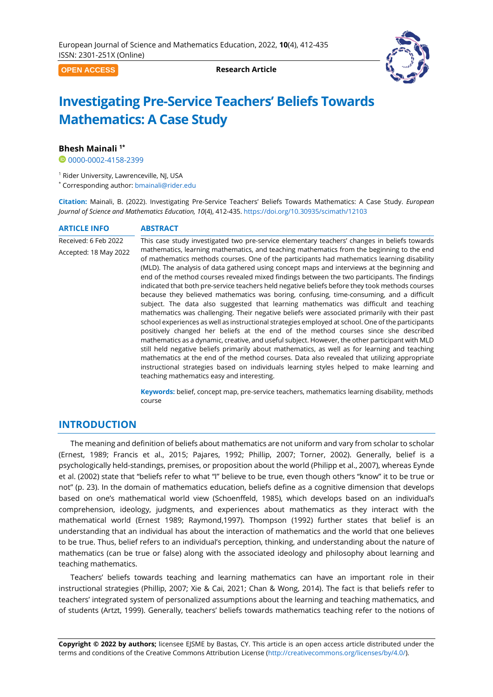**OPEN ACCESS**

**Research Article**



# **Investigating Pre-Service Teachers' Beliefs Towards Mathematics: A Case Study**

## **Bhesh Mainali 1\***

[0000-0002-4158-2399](https://orcid.org/0000-0002-4158-2399)

<sup>1</sup> Rider University, Lawrenceville, NJ, USA

\* Corresponding author: [bmainali@rider.edu](mailto:bmainali@rider.edu)

<span id="page-0-0"></span>**Citation:** Mainali, B. (2022). Investigating Pre-Service Teachers' Beliefs Towards Mathematics: A Case Study. *European Journal of Science and Mathematics Education, 10*(4), [412](#page-0-0)[-435.](#page-23-0) <https://doi.org/10.30935/scimath/12103>

# **ARTICLE INFO ABSTRACT**

Received: 6 Feb 2022 Accepted: 18 May 2022 This case study investigated two pre-service elementary teachers' changes in beliefs towards mathematics, learning mathematics, and teaching mathematics from the beginning to the end of mathematics methods courses. One of the participants had mathematics learning disability (MLD). The analysis of data gathered using concept maps and interviews at the beginning and end of the method courses revealed mixed findings between the two participants. The findings indicated that both pre-service teachers held negative beliefs before they took methods courses because they believed mathematics was boring, confusing, time-consuming, and a difficult subject. The data also suggested that learning mathematics was difficult and teaching mathematics was challenging. Their negative beliefs were associated primarily with their past school experiences as well as instructional strategies employed at school. One of the participants positively changed her beliefs at the end of the method courses since she described mathematics as a dynamic, creative, and useful subject. However, the other participant with MLD still held negative beliefs primarily about mathematics, as well as for learning and teaching mathematics at the end of the method courses. Data also revealed that utilizing appropriate instructional strategies based on individuals learning styles helped to make learning and teaching mathematics easy and interesting.

> **Keywords:** belief, concept map, pre-service teachers, mathematics learning disability, methods course

# **INTRODUCTION**

The meaning and definition of beliefs about mathematics are not uniform and vary from scholar to scholar (Ernest, 1989; Francis et al., 2015; Pajares, 1992; Phillip, 2007; Torner, 2002). Generally, belief is a psychologically held-standings, premises, or proposition about the world (Philipp et al., 2007), whereas Eynde et al. (2002) state that "beliefs refer to what "I" believe to be true, even though others "know" it to be true or not" (p. 23). In the domain of mathematics education, beliefs define as a cognitive dimension that develops based on one's mathematical world view (Schoenffeld, 1985), which develops based on an individual's comprehension, ideology, judgments, and experiences about mathematics as they interact with the mathematical world (Ernest 1989; Raymond,1997). Thompson (1992) further states that belief is an understanding that an individual has about the interaction of mathematics and the world that one believes to be true. Thus, belief refers to an individual's perception, thinking, and understanding about the nature of mathematics (can be true or false) along with the associated ideology and philosophy about learning and teaching mathematics.

Teachers' beliefs towards teaching and learning mathematics can have an important role in their instructional strategies (Phillip, 2007; Xie & Cai, 2021; Chan & Wong, 2014). The fact is that beliefs refer to teachers' integrated system of personalized assumptions about the learning and teaching mathematics, and of students (Artzt, 1999). Generally, teachers' beliefs towards mathematics teaching refer to the notions of

**Copyright © 2022 by authors;** licensee EJSME by Bastas, CY. This article is an open access article distributed under the terms and conditions of the Creative Commons Attribution License [\(http://creativecommons.org/licenses/by/4.0/\)](http://creativecommons.org/licenses/by/4.0/).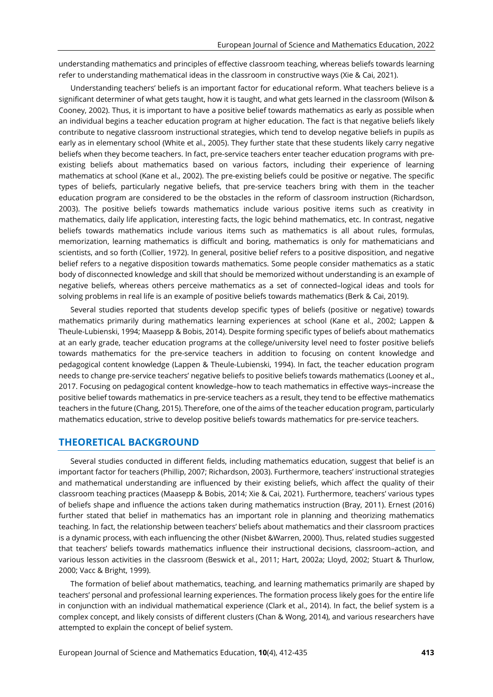understanding mathematics and principles of effective classroom teaching, whereas beliefs towards learning refer to understanding mathematical ideas in the classroom in constructive ways (Xie & Cai, 2021).

Understanding teachers' beliefs is an important factor for educational reform. What teachers believe is a significant determiner of what gets taught, how it is taught, and what gets learned in the classroom (Wilson & Cooney, 2002). Thus, it is important to have a positive belief towards mathematics as early as possible when an individual begins a teacher education program at higher education. The fact is that negative beliefs likely contribute to negative classroom instructional strategies, which tend to develop negative beliefs in pupils as early as in elementary school (White et al., 2005). They further state that these students likely carry negative beliefs when they become teachers. In fact, pre-service teachers enter teacher education programs with preexisting beliefs about mathematics based on various factors, including their experience of learning mathematics at school (Kane et al., 2002). The pre-existing beliefs could be positive or negative. The specific types of beliefs, particularly negative beliefs, that pre-service teachers bring with them in the teacher education program are considered to be the obstacles in the reform of classroom instruction (Richardson, 2003). The positive beliefs towards mathematics include various positive items such as creativity in mathematics, daily life application, interesting facts, the logic behind mathematics, etc. In contrast, negative beliefs towards mathematics include various items such as mathematics is all about rules, formulas, memorization, learning mathematics is difficult and boring, mathematics is only for mathematicians and scientists, and so forth (Collier, 1972). In general, positive belief refers to a positive disposition, and negative belief refers to a negative disposition towards mathematics. Some people consider mathematics as a static body of disconnected knowledge and skill that should be memorized without understanding is an example of negative beliefs, whereas others perceive mathematics as a set of connected–logical ideas and tools for solving problems in real life is an example of positive beliefs towards mathematics (Berk & Cai, 2019).

Several studies reported that students develop specific types of beliefs (positive or negative) towards mathematics primarily during mathematics learning experiences at school (Kane et al., 2002; Lappen & Theule-Lubienski, 1994; Maasepp & Bobis, 2014). Despite forming specific types of beliefs about mathematics at an early grade, teacher education programs at the college/university level need to foster positive beliefs towards mathematics for the pre-service teachers in addition to focusing on content knowledge and pedagogical content knowledge (Lappen & Theule-Lubienski, 1994). In fact, the teacher education program needs to change pre-service teachers' negative beliefs to positive beliefs towards mathematics (Looney et al., 2017. Focusing on pedagogical content knowledge–how to teach mathematics in effective ways–increase the positive belief towards mathematics in pre-service teachers as a result, they tend to be effective mathematics teachers in the future (Chang, 2015). Therefore, one of the aims of the teacher education program, particularly mathematics education, strive to develop positive beliefs towards mathematics for pre-service teachers.

# **THEORETICAL BACKGROUND**

Several studies conducted in different fields, including mathematics education, suggest that belief is an important factor for teachers (Phillip, 2007; Richardson, 2003). Furthermore, teachers' instructional strategies and mathematical understanding are influenced by their existing beliefs, which affect the quality of their classroom teaching practices (Maasepp & Bobis, 2014; Xie & Cai, 2021). Furthermore, teachers' various types of beliefs shape and influence the actions taken during mathematics instruction (Bray, 2011). Ernest (2016) further stated that belief in mathematics has an important role in planning and theorizing mathematics teaching. In fact, the relationship between teachers' beliefs about mathematics and their classroom practices is a dynamic process, with each influencing the other (Nisbet &Warren, 2000). Thus, related studies suggested that teachers' beliefs towards mathematics influence their instructional decisions, classroom–action, and various lesson activities in the classroom (Beswick et al., 2011; Hart, 2002a; Lloyd, 2002; Stuart & Thurlow, 2000; Vacc & Bright, 1999).

The formation of belief about mathematics, teaching, and learning mathematics primarily are shaped by teachers' personal and professional learning experiences. The formation process likely goes for the entire life in conjunction with an individual mathematical experience (Clark et al., 2014). In fact, the belief system is a complex concept, and likely consists of different clusters (Chan & Wong, 2014), and various researchers have attempted to explain the concept of belief system.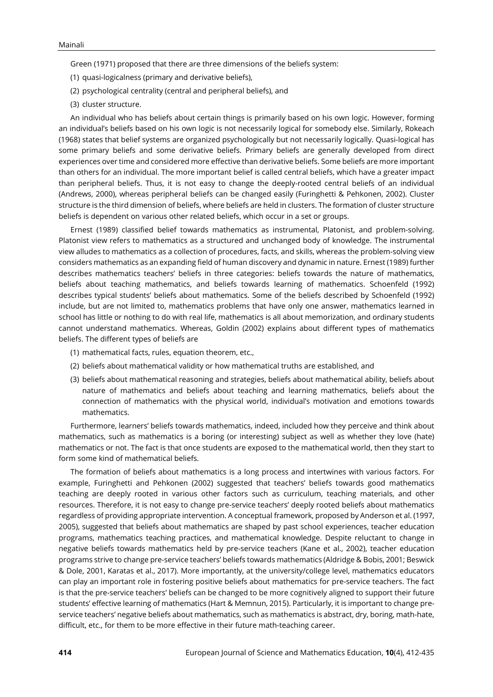Green (1971) proposed that there are three dimensions of the beliefs system:

- (1) quasi-logicalness (primary and derivative beliefs),
- (2) psychological centrality (central and peripheral beliefs), and
- (3) cluster structure.

An individual who has beliefs about certain things is primarily based on his own logic. However, forming an individual's beliefs based on his own logic is not necessarily logical for somebody else. Similarly, Rokeach (1968) states that belief systems are organized psychologically but not necessarily logically. Quasi-logical has some primary beliefs and some derivative beliefs. Primary beliefs are generally developed from direct experiences over time and considered more effective than derivative beliefs. Some beliefs are more important than others for an individual. The more important belief is called central beliefs, which have a greater impact than peripheral beliefs. Thus, it is not easy to change the deeply-rooted central beliefs of an individual (Andrews, 2000), whereas peripheral beliefs can be changed easily (Furinghetti & Pehkonen, 2002). Cluster structure is the third dimension of beliefs, where beliefs are held in clusters. The formation of cluster structure beliefs is dependent on various other related beliefs, which occur in a set or groups.

Ernest (1989) classified belief towards mathematics as instrumental, Platonist, and problem-solving. Platonist view refers to mathematics as a structured and unchanged body of knowledge. The instrumental view alludes to mathematics as a collection of procedures, facts, and skills, whereas the problem-solving view considers mathematics as an expanding field of human discovery and dynamic in nature. Ernest (1989) further describes mathematics teachers' beliefs in three categories: beliefs towards the nature of mathematics, beliefs about teaching mathematics, and beliefs towards learning of mathematics. Schoenfeld (1992) describes typical students' beliefs about mathematics. Some of the beliefs described by Schoenfeld (1992) include, but are not limited to, mathematics problems that have only one answer, mathematics learned in school has little or nothing to do with real life, mathematics is all about memorization, and ordinary students cannot understand mathematics. Whereas, Goldin (2002) explains about different types of mathematics beliefs. The different types of beliefs are

- (1) mathematical facts, rules, equation theorem, etc.,
- (2) beliefs about mathematical validity or how mathematical truths are established, and
- (3) beliefs about mathematical reasoning and strategies, beliefs about mathematical ability, beliefs about nature of mathematics and beliefs about teaching and learning mathematics, beliefs about the connection of mathematics with the physical world, individual's motivation and emotions towards mathematics.

Furthermore, learners' beliefs towards mathematics, indeed, included how they perceive and think about mathematics, such as mathematics is a boring (or interesting) subject as well as whether they love (hate) mathematics or not. The fact is that once students are exposed to the mathematical world, then they start to form some kind of mathematical beliefs.

The formation of beliefs about mathematics is a long process and intertwines with various factors. For example, Furinghetti and Pehkonen (2002) suggested that teachers' beliefs towards good mathematics teaching are deeply rooted in various other factors such as curriculum, teaching materials, and other resources. Therefore, it is not easy to change pre-service teachers' deeply rooted beliefs about mathematics regardless of providing appropriate intervention. A conceptual framework, proposed by Anderson et al. (1997, 2005), suggested that beliefs about mathematics are shaped by past school experiences, teacher education programs, mathematics teaching practices, and mathematical knowledge. Despite reluctant to change in negative beliefs towards mathematics held by pre-service teachers (Kane et al., 2002), teacher education programs strive to change pre-service teachers' beliefs towards mathematics (Aldridge & Bobis, 2001; Beswick & Dole, 2001, Karatas et al., 2017). More importantly, at the university/college level, mathematics educators can play an important role in fostering positive beliefs about mathematics for pre-service teachers. The fact is that the pre-service teachers' beliefs can be changed to be more cognitively aligned to support their future students' effective learning of mathematics (Hart & Memnun, 2015). Particularly, it is important to change preservice teachers' negative beliefs about mathematics, such as mathematics is abstract, dry, boring, math-hate, difficult, etc., for them to be more effective in their future math-teaching career.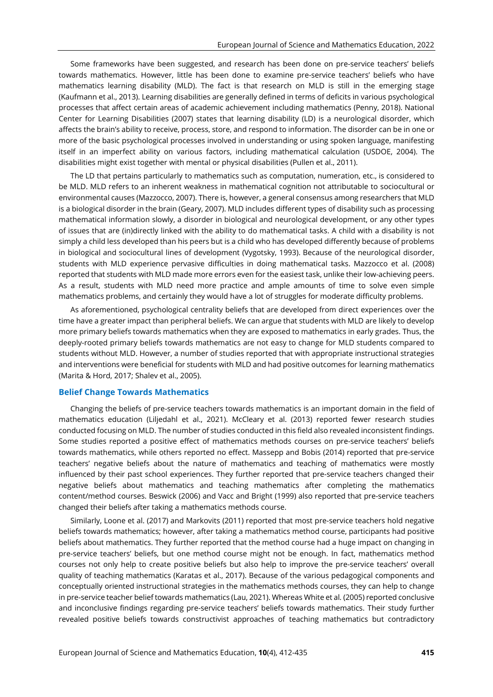Some frameworks have been suggested, and research has been done on pre-service teachers' beliefs towards mathematics. However, little has been done to examine pre-service teachers' beliefs who have mathematics learning disability (MLD). The fact is that research on MLD is still in the emerging stage (Kaufmann et al., 2013). Learning disabilities are generally defined in terms of deficits in various psychological processes that affect certain areas of academic achievement including mathematics (Penny, 2018). National Center for Learning Disabilities (2007) states that learning disability (LD) is a neurological disorder, which affects the brain's ability to receive, process, store, and respond to information. The disorder can be in one or more of the basic psychological processes involved in understanding or using spoken language, manifesting itself in an imperfect ability on various factors, including mathematical calculation (USDOE, 2004). The disabilities might exist together with mental or physical disabilities (Pullen et al., 2011).

The LD that pertains particularly to mathematics such as computation, numeration, etc., is considered to be MLD. MLD refers to an inherent weakness in mathematical cognition not attributable to sociocultural or environmental causes (Mazzocco, 2007). There is, however, a general consensus among researchers that MLD is a biological disorder in the brain (Geary, 2007). MLD includes different types of disability such as processing mathematical information slowly, a disorder in biological and neurological development, or any other types of issues that are (in)directly linked with the ability to do mathematical tasks. A child with a disability is not simply a child less developed than his peers but is a child who has developed differently because of problems in biological and sociocultural lines of development (Vygotsky, 1993). Because of the neurological disorder, students with MLD experience pervasive difficulties in doing mathematical tasks. Mazzocco et al. (2008) reported that students with MLD made more errors even for the easiest task, unlike their low-achieving peers. As a result, students with MLD need more practice and ample amounts of time to solve even simple mathematics problems, and certainly they would have a lot of struggles for moderate difficulty problems.

As aforementioned, psychological centrality beliefs that are developed from direct experiences over the time have a greater impact than peripheral beliefs. We can argue that students with MLD are likely to develop more primary beliefs towards mathematics when they are exposed to mathematics in early grades. Thus, the deeply-rooted primary beliefs towards mathematics are not easy to change for MLD students compared to students without MLD. However, a number of studies reported that with appropriate instructional strategies and interventions were beneficial for students with MLD and had positive outcomes for learning mathematics (Marita & Hord, 2017; Shalev et al., 2005).

#### **Belief Change Towards Mathematics**

Changing the beliefs of pre-service teachers towards mathematics is an important domain in the field of mathematics education (Liljedahl et al., 2021). McCleary et al. (2013) reported fewer research studies conducted focusing on MLD. The number of studies conducted in this field also revealed inconsistent findings. Some studies reported a positive effect of mathematics methods courses on pre-service teachers' beliefs towards mathematics, while others reported no effect. Massepp and Bobis (2014) reported that pre-service teachers' negative beliefs about the nature of mathematics and teaching of mathematics were mostly influenced by their past school experiences. They further reported that pre-service teachers changed their negative beliefs about mathematics and teaching mathematics after completing the mathematics content/method courses. Beswick (2006) and Vacc and Bright (1999) also reported that pre-service teachers changed their beliefs after taking a mathematics methods course.

Similarly, Loone et al. (2017) and Markovits (2011) reported that most pre-service teachers hold negative beliefs towards mathematics; however, after taking a mathematics method course, participants had positive beliefs about mathematics. They further reported that the method course had a huge impact on changing in pre-service teachers' beliefs, but one method course might not be enough. In fact, mathematics method courses not only help to create positive beliefs but also help to improve the pre-service teachers' overall quality of teaching mathematics (Karatas et al., 2017). Because of the various pedagogical components and conceptually oriented instructional strategies in the mathematics methods courses, they can help to change in pre-service teacher belief towards mathematics (Lau, 2021). Whereas White et al*.* (2005) reported conclusive and inconclusive findings regarding pre-service teachers' beliefs towards mathematics. Their study further revealed positive beliefs towards constructivist approaches of teaching mathematics but contradictory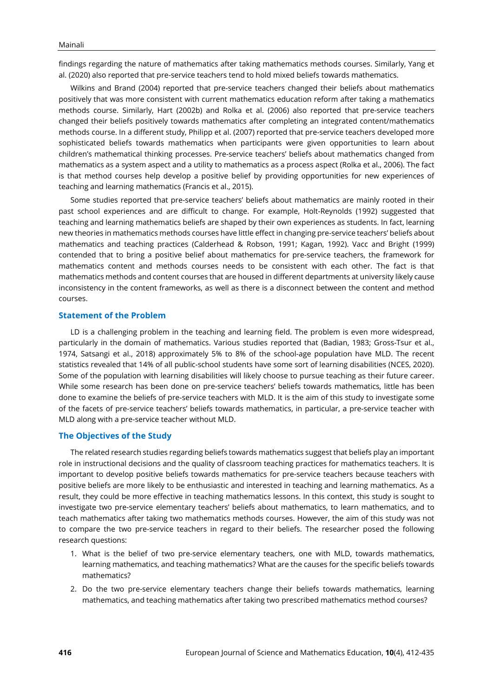findings regarding the nature of mathematics after taking mathematics methods courses. Similarly, Yang et al. (2020) also reported that pre-service teachers tend to hold mixed beliefs towards mathematics.

Wilkins and Brand (2004) reported that pre-service teachers changed their beliefs about mathematics positively that was more consistent with current mathematics education reform after taking a mathematics methods course. Similarly, Hart (2002b) and Rolka et al. (2006) also reported that pre-service teachers changed their beliefs positively towards mathematics after completing an integrated content/mathematics methods course. In a different study, Philipp et al. (2007) reported that pre-service teachers developed more sophisticated beliefs towards mathematics when participants were given opportunities to learn about children's mathematical thinking processes. Pre-service teachers' beliefs about mathematics changed from mathematics as a system aspect and a utility to mathematics as a process aspect (Rolka et al., 2006). The fact is that method courses help develop a positive belief by providing opportunities for new experiences of teaching and learning mathematics (Francis et al., 2015).

Some studies reported that pre-service teachers' beliefs about mathematics are mainly rooted in their past school experiences and are difficult to change. For example, Holt-Reynolds (1992) suggested that teaching and learning mathematics beliefs are shaped by their own experiences as students. In fact, learning new theories in mathematics methods courses have little effect in changing pre-service teachers' beliefs about mathematics and teaching practices (Calderhead & Robson, 1991; Kagan, 1992). Vacc and Bright (1999) contended that to bring a positive belief about mathematics for pre-service teachers, the framework for mathematics content and methods courses needs to be consistent with each other. The fact is that mathematics methods and content courses that are housed in different departments at university likely cause inconsistency in the content frameworks, as well as there is a disconnect between the content and method courses.

#### **Statement of the Problem**

LD is a challenging problem in the teaching and learning field. The problem is even more widespread, particularly in the domain of mathematics. Various studies reported that (Badian, 1983; Gross-Tsur et al., 1974, Satsangi et al., 2018) approximately 5% to 8% of the school-age population have MLD. The recent statistics revealed that 14% of all public-school students have some sort of learning disabilities (NCES, 2020). Some of the population with learning disabilities will likely choose to pursue teaching as their future career. While some research has been done on pre-service teachers' beliefs towards mathematics, little has been done to examine the beliefs of pre-service teachers with MLD. It is the aim of this study to investigate some of the facets of pre-service teachers' beliefs towards mathematics, in particular, a pre-service teacher with MLD along with a pre-service teacher without MLD.

#### **The Objectives of the Study**

The related research studies regarding beliefs towards mathematics suggest that beliefs play an important role in instructional decisions and the quality of classroom teaching practices for mathematics teachers. It is important to develop positive beliefs towards mathematics for pre-service teachers because teachers with positive beliefs are more likely to be enthusiastic and interested in teaching and learning mathematics. As a result, they could be more effective in teaching mathematics lessons. In this context, this study is sought to investigate two pre-service elementary teachers' beliefs about mathematics, to learn mathematics, and to teach mathematics after taking two mathematics methods courses. However, the aim of this study was not to compare the two pre-service teachers in regard to their beliefs. The researcher posed the following research questions:

- 1. What is the belief of two pre-service elementary teachers, one with MLD, towards mathematics, learning mathematics, and teaching mathematics? What are the causes for the specific beliefs towards mathematics?
- 2. Do the two pre-service elementary teachers change their beliefs towards mathematics, learning mathematics, and teaching mathematics after taking two prescribed mathematics method courses?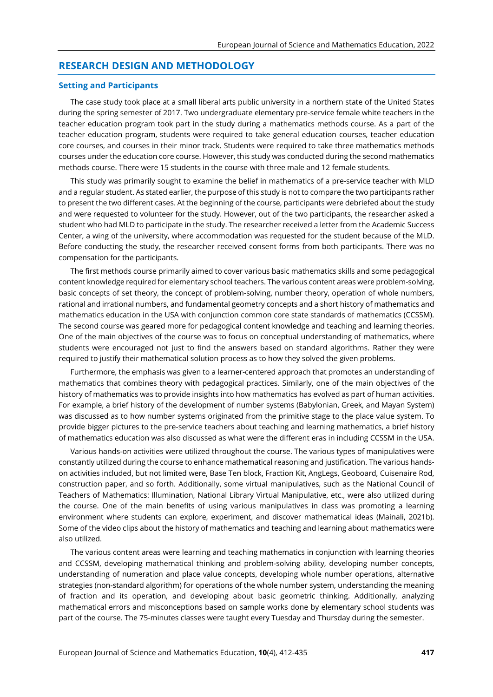# **RESEARCH DESIGN AND METHODOLOGY**

#### **Setting and Participants**

The case study took place at a small liberal arts public university in a northern state of the United States during the spring semester of 2017. Two undergraduate elementary pre-service female white teachers in the teacher education program took part in the study during a mathematics methods course. As a part of the teacher education program, students were required to take general education courses, teacher education core courses, and courses in their minor track. Students were required to take three mathematics methods courses under the education core course. However, this study was conducted during the second mathematics methods course. There were 15 students in the course with three male and 12 female students.

This study was primarily sought to examine the belief in mathematics of a pre-service teacher with MLD and a regular student. As stated earlier, the purpose of this study is not to compare the two participants rather to present the two different cases. At the beginning of the course, participants were debriefed about the study and were requested to volunteer for the study. However, out of the two participants, the researcher asked a student who had MLD to participate in the study. The researcher received a letter from the Academic Success Center, a wing of the university, where accommodation was requested for the student because of the MLD. Before conducting the study, the researcher received consent forms from both participants. There was no compensation for the participants.

The first methods course primarily aimed to cover various basic mathematics skills and some pedagogical content knowledge required for elementary school teachers. The various content areas were problem-solving, basic concepts of set theory, the concept of problem-solving, number theory, operation of whole numbers, rational and irrational numbers, and fundamental geometry concepts and a short history of mathematics and mathematics education in the USA with conjunction common core state standards of mathematics (CCSSM). The second course was geared more for pedagogical content knowledge and teaching and learning theories. One of the main objectives of the course was to focus on conceptual understanding of mathematics, where students were encouraged not just to find the answers based on standard algorithms. Rather they were required to justify their mathematical solution process as to how they solved the given problems.

Furthermore, the emphasis was given to a learner-centered approach that promotes an understanding of mathematics that combines theory with pedagogical practices. Similarly, one of the main objectives of the history of mathematics was to provide insights into how mathematics has evolved as part of human activities. For example, a brief history of the development of number systems (Babylonian, Greek, and Mayan System) was discussed as to how number systems originated from the primitive stage to the place value system. To provide bigger pictures to the pre-service teachers about teaching and learning mathematics, a brief history of mathematics education was also discussed as what were the different eras in including CCSSM in the USA.

Various hands-on activities were utilized throughout the course. The various types of manipulatives were constantly utilized during the course to enhance mathematical reasoning and justification. The various handson activities included, but not limited were, Base Ten block, Fraction Kit, AngLegs, Geoboard, Cuisenaire Rod, construction paper, and so forth. Additionally, some virtual manipulatives, such as the National Council of Teachers of Mathematics: Illumination, National Library Virtual Manipulative, etc., were also utilized during the course. One of the main benefits of using various manipulatives in class was promoting a learning environment where students can explore, experiment, and discover mathematical ideas (Mainali, 2021b). Some of the video clips about the history of mathematics and teaching and learning about mathematics were also utilized.

The various content areas were learning and teaching mathematics in conjunction with learning theories and CCSSM, developing mathematical thinking and problem-solving ability, developing number concepts, understanding of numeration and place value concepts, developing whole number operations, alternative strategies (non-standard algorithm) for operations of the whole number system, understanding the meaning of fraction and its operation, and developing about basic geometric thinking. Additionally, analyzing mathematical errors and misconceptions based on sample works done by elementary school students was part of the course. The 75-minutes classes were taught every Tuesday and Thursday during the semester.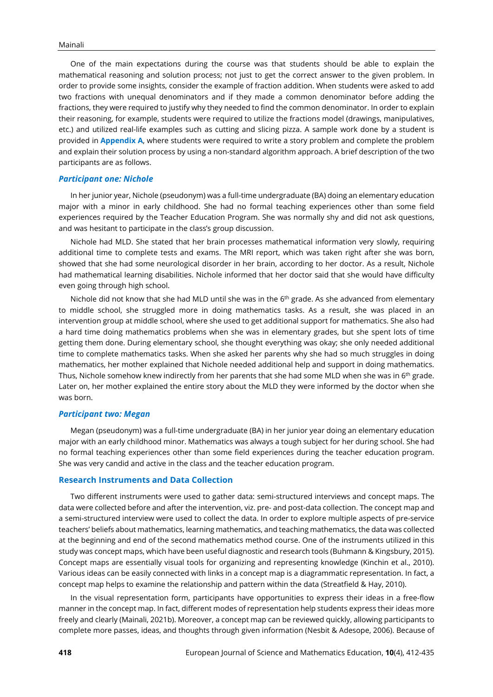One of the main expectations during the course was that students should be able to explain the mathematical reasoning and solution process; not just to get the correct answer to the given problem. In order to provide some insights, consider the example of fraction addition. When students were asked to add two fractions with unequal denominators and if they made a common denominator before adding the fractions, they were required to justify why they needed to find the common denominator. In order to explain their reasoning, for example, students were required to utilize the fractions model (drawings, manipulatives, etc.) and utilized real-life examples such as cutting and slicing pizza. A sample work done by a student is provided in **Appendix A**, where students were required to write a story problem and complete the problem and explain their solution process by using a non-standard algorithm approach. A brief description of the two participants are as follows.

#### *Participant one: Nichole*

In her junior year, Nichole (pseudonym) was a full-time undergraduate (BA) doing an elementary education major with a minor in early childhood. She had no formal teaching experiences other than some field experiences required by the Teacher Education Program. She was normally shy and did not ask questions, and was hesitant to participate in the class's group discussion.

Nichole had MLD. She stated that her brain processes mathematical information very slowly, requiring additional time to complete tests and exams. The MRI report, which was taken right after she was born, showed that she had some neurological disorder in her brain, according to her doctor. As a result, Nichole had mathematical learning disabilities. Nichole informed that her doctor said that she would have difficulty even going through high school.

Nichole did not know that she had MLD until she was in the  $6<sup>th</sup>$  grade. As she advanced from elementary to middle school, she struggled more in doing mathematics tasks. As a result, she was placed in an intervention group at middle school, where she used to get additional support for mathematics. She also had a hard time doing mathematics problems when she was in elementary grades, but she spent lots of time getting them done. During elementary school, she thought everything was okay; she only needed additional time to complete mathematics tasks. When she asked her parents why she had so much struggles in doing mathematics, her mother explained that Nichole needed additional help and support in doing mathematics. Thus, Nichole somehow knew indirectly from her parents that she had some MLD when she was in  $6^{\rm th}$  grade. Later on, her mother explained the entire story about the MLD they were informed by the doctor when she was born.

#### *Participant two: Megan*

Megan (pseudonym) was a full-time undergraduate (BA) in her junior year doing an elementary education major with an early childhood minor. Mathematics was always a tough subject for her during school. She had no formal teaching experiences other than some field experiences during the teacher education program. She was very candid and active in the class and the teacher education program.

#### **Research Instruments and Data Collection**

Two different instruments were used to gather data: semi-structured interviews and concept maps. The data were collected before and after the intervention, viz. pre- and post-data collection. The concept map and a semi-structured interview were used to collect the data. In order to explore multiple aspects of pre-service teachers' beliefs about mathematics, learning mathematics, and teaching mathematics, the data was collected at the beginning and end of the second mathematics method course. One of the instruments utilized in this study was concept maps, which have been useful diagnostic and research tools (Buhmann & Kingsbury, 2015). Concept maps are essentially visual tools for organizing and representing knowledge (Kinchin et al., 2010). Various ideas can be easily connected with links in a concept map is a diagrammatic representation. In fact, a concept map helps to examine the relationship and pattern within the data (Streatfield & Hay, 2010).

In the visual representation form, participants have opportunities to express their ideas in a free-flow manner in the concept map. In fact, different modes of representation help students express their ideas more freely and clearly (Mainali, 2021b). Moreover, a concept map can be reviewed quickly, allowing participants to complete more passes, ideas, and thoughts through given information (Nesbit & Adesope, 2006). Because of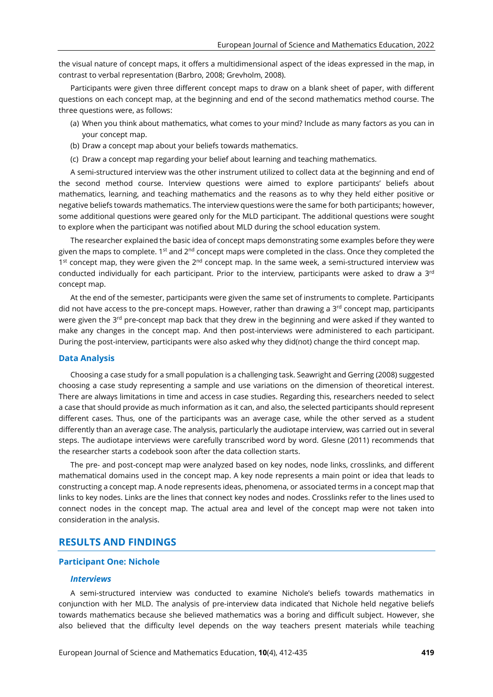the visual nature of concept maps, it offers a multidimensional aspect of the ideas expressed in the map, in contrast to verbal representation (Barbro, 2008; Grevholm, 2008).

Participants were given three different concept maps to draw on a blank sheet of paper, with different questions on each concept map, at the beginning and end of the second mathematics method course. The three questions were, as follows:

- (a) When you think about mathematics, what comes to your mind? Include as many factors as you can in your concept map.
- (b) Draw a concept map about your beliefs towards mathematics.
- (c) Draw a concept map regarding your belief about learning and teaching mathematics.

A semi-structured interview was the other instrument utilized to collect data at the beginning and end of the second method course. Interview questions were aimed to explore participants' beliefs about mathematics, learning, and teaching mathematics and the reasons as to why they held either positive or negative beliefs towards mathematics. The interview questions were the same for both participants; however, some additional questions were geared only for the MLD participant. The additional questions were sought to explore when the participant was notified about MLD during the school education system.

The researcher explained the basic idea of concept maps demonstrating some examples before they were given the maps to complete. 1<sup>st</sup> and 2<sup>nd</sup> concept maps were completed in the class. Once they completed the 1<sup>st</sup> concept map, they were given the 2<sup>nd</sup> concept map. In the same week, a semi-structured interview was conducted individually for each participant. Prior to the interview, participants were asked to draw a 3 $^{\rm rd}$ concept map.

At the end of the semester, participants were given the same set of instruments to complete. Participants did not have access to the pre-concept maps. However, rather than drawing a 3<sup>rd</sup> concept map, participants were given the 3<sup>rd</sup> pre-concept map back that they drew in the beginning and were asked if they wanted to make any changes in the concept map. And then post-interviews were administered to each participant. During the post-interview, participants were also asked why they did(not) change the third concept map.

## **Data Analysis**

Choosing a case study for a small population is a challenging task. Seawright and Gerring (2008) suggested choosing a case study representing a sample and use variations on the dimension of theoretical interest. There are always limitations in time and access in case studies. Regarding this, researchers needed to select a case that should provide as much information as it can, and also, the selected participants should represent different cases. Thus, one of the participants was an average case, while the other served as a student differently than an average case. The analysis, particularly the audiotape interview, was carried out in several steps. The audiotape interviews were carefully transcribed word by word. Glesne (2011) recommends that the researcher starts a codebook soon after the data collection starts.

The pre- and post-concept map were analyzed based on key nodes, node links, crosslinks, and different mathematical domains used in the concept map. A key node represents a main point or idea that leads to constructing a concept map. A node represents ideas, phenomena, or associated terms in a concept map that links to key nodes. Links are the lines that connect key nodes and nodes. Crosslinks refer to the lines used to connect nodes in the concept map. The actual area and level of the concept map were not taken into consideration in the analysis.

# **RESULTS AND FINDINGS**

#### **Participant One: Nichole**

#### *Interviews*

A semi-structured interview was conducted to examine Nichole's beliefs towards mathematics in conjunction with her MLD. The analysis of pre-interview data indicated that Nichole held negative beliefs towards mathematics because she believed mathematics was a boring and difficult subject. However, she also believed that the difficulty level depends on the way teachers present materials while teaching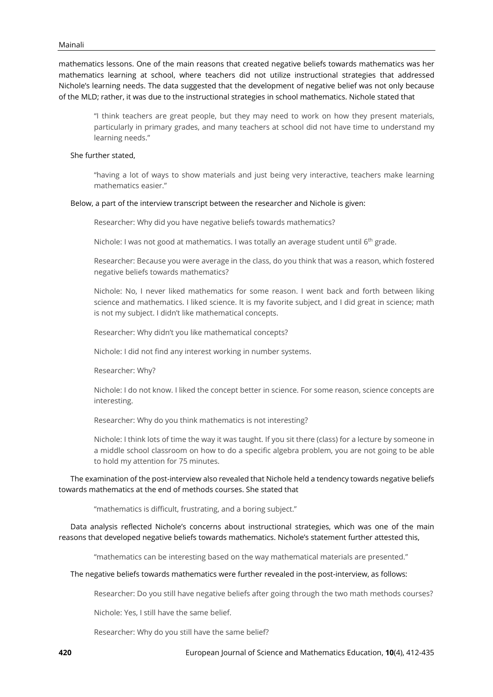mathematics lessons. One of the main reasons that created negative beliefs towards mathematics was her mathematics learning at school, where teachers did not utilize instructional strategies that addressed Nichole's learning needs. The data suggested that the development of negative belief was not only because of the MLD; rather, it was due to the instructional strategies in school mathematics. Nichole stated that

"I think teachers are great people, but they may need to work on how they present materials, particularly in primary grades, and many teachers at school did not have time to understand my learning needs."

#### She further stated,

"having a lot of ways to show materials and just being very interactive, teachers make learning mathematics easier."

#### Below, a part of the interview transcript between the researcher and Nichole is given:

Researcher: Why did you have negative beliefs towards mathematics?

Nichole: I was not good at mathematics. I was totally an average student until  $6<sup>th</sup>$  grade.

Researcher: Because you were average in the class, do you think that was a reason, which fostered negative beliefs towards mathematics?

Nichole: No, I never liked mathematics for some reason. I went back and forth between liking science and mathematics. I liked science. It is my favorite subject, and I did great in science; math is not my subject. I didn't like mathematical concepts.

Researcher: Why didn't you like mathematical concepts?

Nichole: I did not find any interest working in number systems.

Researcher: Why?

Nichole: I do not know. I liked the concept better in science. For some reason, science concepts are interesting.

Researcher: Why do you think mathematics is not interesting?

Nichole: I think lots of time the way it was taught. If you sit there (class) for a lecture by someone in a middle school classroom on how to do a specific algebra problem, you are not going to be able to hold my attention for 75 minutes.

The examination of the post-interview also revealed that Nichole held a tendency towards negative beliefs towards mathematics at the end of methods courses. She stated that

"mathematics is difficult, frustrating, and a boring subject."

Data analysis reflected Nichole's concerns about instructional strategies, which was one of the main reasons that developed negative beliefs towards mathematics. Nichole's statement further attested this,

"mathematics can be interesting based on the way mathematical materials are presented."

#### The negative beliefs towards mathematics were further revealed in the post-interview, as follows:

Researcher: Do you still have negative beliefs after going through the two math methods courses?

Nichole: Yes, I still have the same belief.

Researcher: Why do you still have the same belief?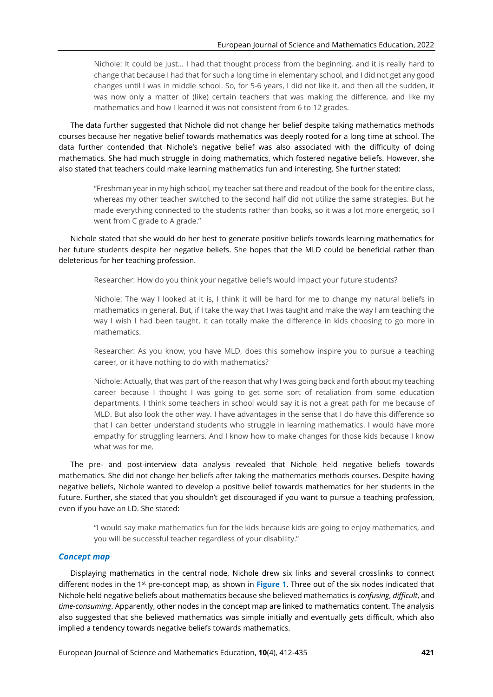Nichole: It could be just… I had that thought process from the beginning, and it is really hard to change that because I had that for such a long time in elementary school, and I did not get any good changes until I was in middle school. So, for 5-6 years, I did not like it, and then all the sudden, it was now only a matter of (like) certain teachers that was making the difference, and like my mathematics and how I learned it was not consistent from 6 to 12 grades.

The data further suggested that Nichole did not change her belief despite taking mathematics methods courses because her negative belief towards mathematics was deeply rooted for a long time at school. The data further contended that Nichole's negative belief was also associated with the difficulty of doing mathematics. She had much struggle in doing mathematics, which fostered negative beliefs. However, she also stated that teachers could make learning mathematics fun and interesting. She further stated:

"Freshman year in my high school, my teacher sat there and readout of the book for the entire class, whereas my other teacher switched to the second half did not utilize the same strategies. But he made everything connected to the students rather than books, so it was a lot more energetic, so I went from C grade to A grade."

Nichole stated that she would do her best to generate positive beliefs towards learning mathematics for her future students despite her negative beliefs. She hopes that the MLD could be beneficial rather than deleterious for her teaching profession.

Researcher: How do you think your negative beliefs would impact your future students?

Nichole: The way I looked at it is, I think it will be hard for me to change my natural beliefs in mathematics in general. But, if I take the way that I was taught and make the way I am teaching the way I wish I had been taught, it can totally make the difference in kids choosing to go more in mathematics.

Researcher: As you know, you have MLD, does this somehow inspire you to pursue a teaching career, or it have nothing to do with mathematics?

Nichole: Actually, that was part of the reason that why I was going back and forth about my teaching career because I thought I was going to get some sort of retaliation from some education departments. I think some teachers in school would say it is not a great path for me because of MLD. But also look the other way. I have advantages in the sense that I do have this difference so that I can better understand students who struggle in learning mathematics. I would have more empathy for struggling learners. And I know how to make changes for those kids because I know what was for me.

The pre- and post-interview data analysis revealed that Nichole held negative beliefs towards mathematics. She did not change her beliefs after taking the mathematics methods courses. Despite having negative beliefs, Nichole wanted to develop a positive belief towards mathematics for her students in the future. Further, she stated that you shouldn't get discouraged if you want to pursue a teaching profession, even if you have an LD. She stated:

"I would say make mathematics fun for the kids because kids are going to enjoy mathematics, and you will be successful teacher regardless of your disability."

## *Concept map*

Displaying mathematics in the central node, Nichole drew six links and several crosslinks to connect different nodes in the 1<sup>st</sup> pre-concept map, as shown in Figure 1. Three out of the six nodes indicated that Nichole held negative beliefs about mathematics because she believed mathematics is *confusing*, *difficult*, and *time-consuming*. Apparently, other nodes in the concept map are linked to mathematics content. The analysis also suggested that she believed mathematics was simple initially and eventually gets difficult, which also implied a tendency towards negative beliefs towards mathematics.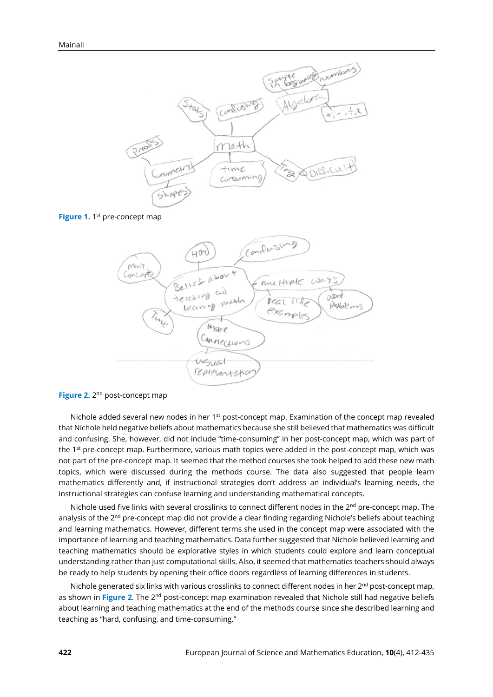





**Figure 2.** 2<sup>nd</sup> post-concept map

Nichole added several new nodes in her 1<sup>st</sup> post-concept map. Examination of the concept map revealed that Nichole held negative beliefs about mathematics because she still believed that mathematics was difficult and confusing. She, however, did not include "time-consuming" in her post-concept map, which was part of the 1st pre-concept map. Furthermore, various math topics were added in the post-concept map, which was not part of the pre-concept map. It seemed that the method courses she took helped to add these new math topics, which were discussed during the methods course. The data also suggested that people learn mathematics differently and, if instructional strategies don't address an individual's learning needs, the instructional strategies can confuse learning and understanding mathematical concepts.

Nichole used five links with several crosslinks to connect different nodes in the  $2<sup>nd</sup>$  pre-concept map. The analysis of the 2<sup>nd</sup> pre-concept map did not provide a clear finding regarding Nichole's beliefs about teaching and learning mathematics. However, different terms she used in the concept map were associated with the importance of learning and teaching mathematics. Data further suggested that Nichole believed learning and teaching mathematics should be explorative styles in which students could explore and learn conceptual understanding rather than just computational skills. Also, it seemed that mathematics teachers should always be ready to help students by opening their office doors regardless of learning differences in students.

Nichole generated six links with various crosslinks to connect different nodes in her 2<sup>nd</sup> post-concept map, as shown in Figure 2. The 2<sup>nd</sup> post-concept map examination revealed that Nichole still had negative beliefs about learning and teaching mathematics at the end of the methods course since she described learning and teaching as "hard, confusing, and time-consuming."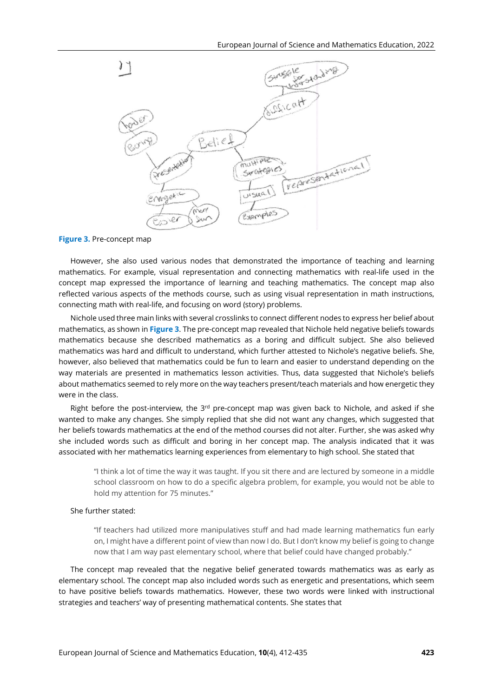

**Figure 3.** Pre-concept map

However, she also used various nodes that demonstrated the importance of teaching and learning mathematics. For example, visual representation and connecting mathematics with real-life used in the concept map expressed the importance of learning and teaching mathematics. The concept map also reflected various aspects of the methods course, such as using visual representation in math instructions, connecting math with real-life, and focusing on word (story) problems.

Nichole used three main links with several crosslinks to connect different nodes to express her belief about mathematics, as shown in **Figure 3**. The pre-concept map revealed that Nichole held negative beliefs towards mathematics because she described mathematics as a boring and difficult subject. She also believed mathematics was hard and difficult to understand, which further attested to Nichole's negative beliefs. She, however, also believed that mathematics could be fun to learn and easier to understand depending on the way materials are presented in mathematics lesson activities. Thus, data suggested that Nichole's beliefs about mathematics seemed to rely more on the way teachers present/teach materials and how energetic they were in the class.

Right before the post-interview, the  $3<sup>rd</sup>$  pre-concept map was given back to Nichole, and asked if she wanted to make any changes. She simply replied that she did not want any changes, which suggested that her beliefs towards mathematics at the end of the method courses did not alter. Further, she was asked why she included words such as difficult and boring in her concept map. The analysis indicated that it was associated with her mathematics learning experiences from elementary to high school. She stated that

"I think a lot of time the way it was taught. If you sit there and are lectured by someone in a middle school classroom on how to do a specific algebra problem, for example, you would not be able to hold my attention for 75 minutes."

#### She further stated:

"If teachers had utilized more manipulatives stuff and had made learning mathematics fun early on, I might have a different point of view than now I do. But I don't know my belief is going to change now that I am way past elementary school, where that belief could have changed probably."

The concept map revealed that the negative belief generated towards mathematics was as early as elementary school. The concept map also included words such as energetic and presentations, which seem to have positive beliefs towards mathematics. However, these two words were linked with instructional strategies and teachers' way of presenting mathematical contents. She states that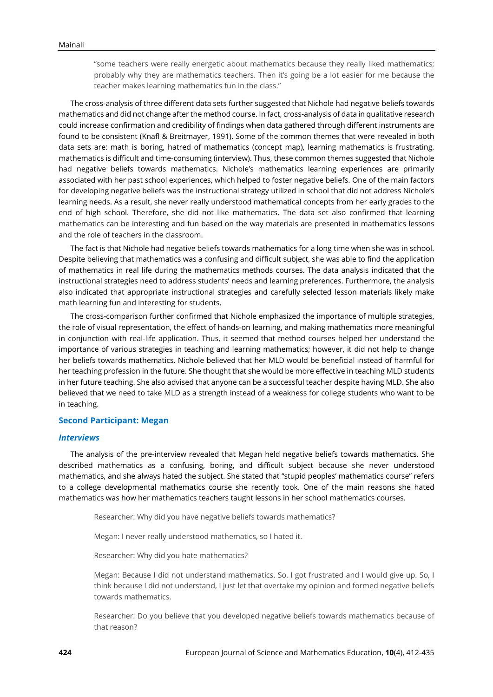"some teachers were really energetic about mathematics because they really liked mathematics; probably why they are mathematics teachers. Then it's going be a lot easier for me because the teacher makes learning mathematics fun in the class."

The cross-analysis of three different data sets further suggested that Nichole had negative beliefs towards mathematics and did not change after the method course. In fact, cross-analysis of data in qualitative research could increase confirmation and credibility of findings when data gathered through different instruments are found to be consistent (Knafl & Breitmayer, 1991). Some of the common themes that were revealed in both data sets are: math is boring, hatred of mathematics (concept map), learning mathematics is frustrating, mathematics is difficult and time-consuming (interview). Thus, these common themes suggested that Nichole had negative beliefs towards mathematics. Nichole's mathematics learning experiences are primarily associated with her past school experiences, which helped to foster negative beliefs. One of the main factors for developing negative beliefs was the instructional strategy utilized in school that did not address Nichole's learning needs. As a result, she never really understood mathematical concepts from her early grades to the end of high school. Therefore, she did not like mathematics. The data set also confirmed that learning mathematics can be interesting and fun based on the way materials are presented in mathematics lessons and the role of teachers in the classroom.

The fact is that Nichole had negative beliefs towards mathematics for a long time when she was in school. Despite believing that mathematics was a confusing and difficult subject, she was able to find the application of mathematics in real life during the mathematics methods courses. The data analysis indicated that the instructional strategies need to address students' needs and learning preferences. Furthermore, the analysis also indicated that appropriate instructional strategies and carefully selected lesson materials likely make math learning fun and interesting for students.

The cross-comparison further confirmed that Nichole emphasized the importance of multiple strategies, the role of visual representation, the effect of hands-on learning, and making mathematics more meaningful in conjunction with real-life application. Thus, it seemed that method courses helped her understand the importance of various strategies in teaching and learning mathematics; however, it did not help to change her beliefs towards mathematics. Nichole believed that her MLD would be beneficial instead of harmful for her teaching profession in the future. She thought that she would be more effective in teaching MLD students in her future teaching. She also advised that anyone can be a successful teacher despite having MLD. She also believed that we need to take MLD as a strength instead of a weakness for college students who want to be in teaching.

## **Second Participant: Megan**

## *Interviews*

The analysis of the pre-interview revealed that Megan held negative beliefs towards mathematics. She described mathematics as a confusing, boring, and difficult subject because she never understood mathematics, and she always hated the subject. She stated that "stupid peoples' mathematics course" refers to a college developmental mathematics course she recently took. One of the main reasons she hated mathematics was how her mathematics teachers taught lessons in her school mathematics courses.

Researcher: Why did you have negative beliefs towards mathematics?

Megan: I never really understood mathematics, so I hated it.

Researcher: Why did you hate mathematics?

Megan: Because I did not understand mathematics. So, I got frustrated and I would give up. So, I think because I did not understand, I just let that overtake my opinion and formed negative beliefs towards mathematics.

Researcher: Do you believe that you developed negative beliefs towards mathematics because of that reason?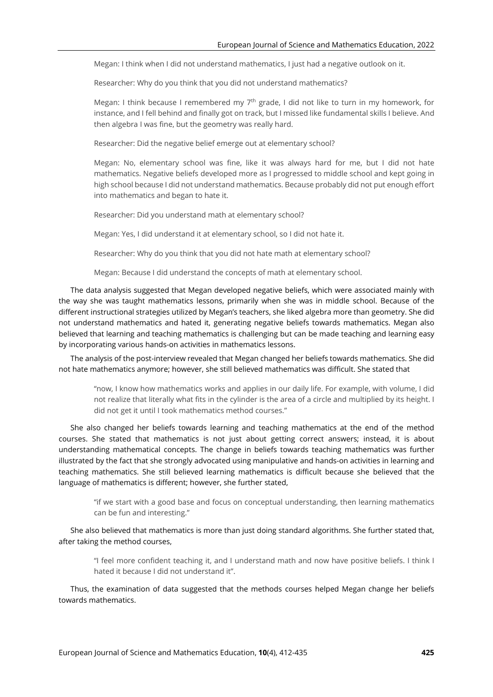Megan: I think when I did not understand mathematics, I just had a negative outlook on it.

Researcher: Why do you think that you did not understand mathematics?

Megan: I think because I remembered my  $7<sup>th</sup>$  grade, I did not like to turn in my homework, for instance, and I fell behind and finally got on track, but I missed like fundamental skills I believe. And then algebra I was fine, but the geometry was really hard.

Researcher: Did the negative belief emerge out at elementary school?

Megan: No, elementary school was fine, like it was always hard for me, but I did not hate mathematics. Negative beliefs developed more as I progressed to middle school and kept going in high school because I did not understand mathematics. Because probably did not put enough effort into mathematics and began to hate it.

Researcher: Did you understand math at elementary school?

Megan: Yes, I did understand it at elementary school, so I did not hate it.

Researcher: Why do you think that you did not hate math at elementary school?

Megan: Because I did understand the concepts of math at elementary school.

The data analysis suggested that Megan developed negative beliefs, which were associated mainly with the way she was taught mathematics lessons, primarily when she was in middle school. Because of the different instructional strategies utilized by Megan's teachers, she liked algebra more than geometry. She did not understand mathematics and hated it, generating negative beliefs towards mathematics. Megan also believed that learning and teaching mathematics is challenging but can be made teaching and learning easy by incorporating various hands-on activities in mathematics lessons.

The analysis of the post-interview revealed that Megan changed her beliefs towards mathematics. She did not hate mathematics anymore; however, she still believed mathematics was difficult. She stated that

"now, I know how mathematics works and applies in our daily life. For example, with volume, I did not realize that literally what fits in the cylinder is the area of a circle and multiplied by its height. I did not get it until I took mathematics method courses."

She also changed her beliefs towards learning and teaching mathematics at the end of the method courses. She stated that mathematics is not just about getting correct answers; instead, it is about understanding mathematical concepts. The change in beliefs towards teaching mathematics was further illustrated by the fact that she strongly advocated using manipulative and hands-on activities in learning and teaching mathematics. She still believed learning mathematics is difficult because she believed that the language of mathematics is different; however, she further stated,

"if we start with a good base and focus on conceptual understanding, then learning mathematics can be fun and interesting."

She also believed that mathematics is more than just doing standard algorithms. She further stated that, after taking the method courses,

"I feel more confident teaching it, and I understand math and now have positive beliefs. I think I hated it because I did not understand it".

Thus, the examination of data suggested that the methods courses helped Megan change her beliefs towards mathematics.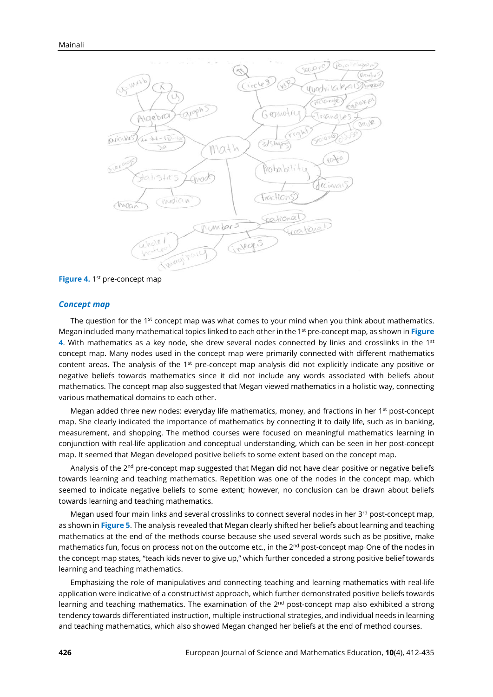

**Figure 4.** 1<sup>st</sup> pre-concept map

#### *Concept map*

The question for the 1<sup>st</sup> concept map was what comes to your mind when you think about mathematics. Megan included many mathematical topics linked to each other in the 1 st pre-concept map, as shown in **Figure 4.** With mathematics as a key node, she drew several nodes connected by links and crosslinks in the 1st concept map. Many nodes used in the concept map were primarily connected with different mathematics content areas. The analysis of the 1st pre-concept map analysis did not explicitly indicate any positive or negative beliefs towards mathematics since it did not include any words associated with beliefs about mathematics. The concept map also suggested that Megan viewed mathematics in a holistic way, connecting various mathematical domains to each other.

Megan added three new nodes: everyday life mathematics, money, and fractions in her 1<sup>st</sup> post-concept map. She clearly indicated the importance of mathematics by connecting it to daily life, such as in banking, measurement, and shopping. The method courses were focused on meaningful mathematics learning in conjunction with real-life application and conceptual understanding, which can be seen in her post-concept map. It seemed that Megan developed positive beliefs to some extent based on the concept map.

Analysis of the 2<sup>nd</sup> pre-concept map suggested that Megan did not have clear positive or negative beliefs towards learning and teaching mathematics. Repetition was one of the nodes in the concept map, which seemed to indicate negative beliefs to some extent; however, no conclusion can be drawn about beliefs towards learning and teaching mathematics.

Megan used four main links and several crosslinks to connect several nodes in her 3<sup>rd</sup> post-concept map, as shown in **Figure 5**. The analysis revealed that Megan clearly shifted her beliefs about learning and teaching mathematics at the end of the methods course because she used several words such as be positive, make mathematics fun, focus on process not on the outcome etc., in the 2<sup>nd</sup> post-concept map<sup>.</sup> One of the nodes in the concept map states, "teach kids never to give up," which further conceded a strong positive belief towards learning and teaching mathematics.

Emphasizing the role of manipulatives and connecting teaching and learning mathematics with real-life application were indicative of a constructivist approach, which further demonstrated positive beliefs towards learning and teaching mathematics. The examination of the 2<sup>nd</sup> post-concept map also exhibited a strong tendency towards differentiated instruction, multiple instructional strategies, and individual needs in learning and teaching mathematics, which also showed Megan changed her beliefs at the end of method courses.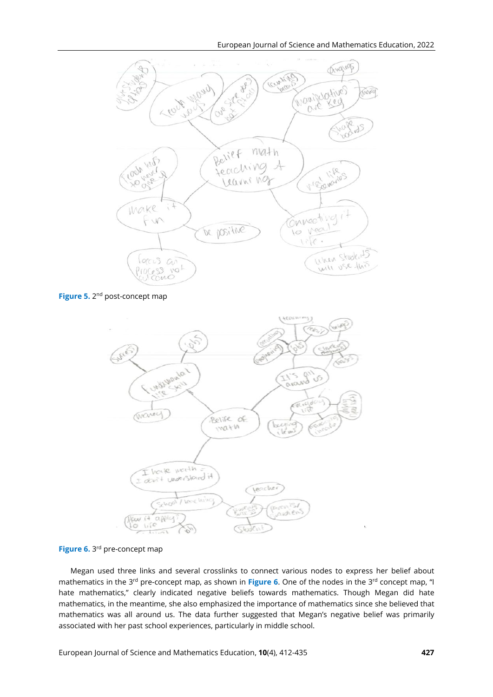

**Figure 5.** 2<sup>nd</sup> post-concept map



**Figure 6.** 3<sup>rd</sup> pre-concept map

Megan used three links and several crosslinks to connect various nodes to express her belief about mathematics in the 3<sup>rd</sup> pre-concept map, as shown in Figure 6. One of the nodes in the 3<sup>rd</sup> concept map, "I hate mathematics," clearly indicated negative beliefs towards mathematics. Though Megan did hate mathematics, in the meantime, she also emphasized the importance of mathematics since she believed that mathematics was all around us. The data further suggested that Megan's negative belief was primarily associated with her past school experiences, particularly in middle school.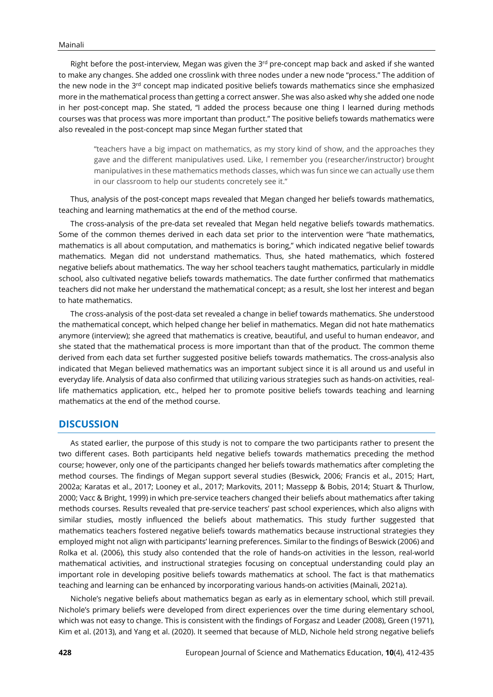Right before the post-interview, Megan was given the 3<sup>rd</sup> pre-concept map back and asked if she wanted to make any changes. She added one crosslink with three nodes under a new node "process." The addition of the new node in the 3<sup>rd</sup> concept map indicated positive beliefs towards mathematics since she emphasized more in the mathematical process than getting a correct answer. She was also asked why she added one node in her post-concept map. She stated, "I added the process because one thing I learned during methods courses was that process was more important than product." The positive beliefs towards mathematics were also revealed in the post-concept map since Megan further stated that

"teachers have a big impact on mathematics, as my story kind of show, and the approaches they gave and the different manipulatives used. Like, I remember you (researcher/instructor) brought manipulatives in these mathematics methods classes, which was fun since we can actually use them in our classroom to help our students concretely see it."

Thus, analysis of the post-concept maps revealed that Megan changed her beliefs towards mathematics, teaching and learning mathematics at the end of the method course.

The cross-analysis of the pre-data set revealed that Megan held negative beliefs towards mathematics. Some of the common themes derived in each data set prior to the intervention were "hate mathematics, mathematics is all about computation, and mathematics is boring," which indicated negative belief towards mathematics. Megan did not understand mathematics. Thus, she hated mathematics, which fostered negative beliefs about mathematics. The way her school teachers taught mathematics, particularly in middle school, also cultivated negative beliefs towards mathematics. The date further confirmed that mathematics teachers did not make her understand the mathematical concept; as a result, she lost her interest and began to hate mathematics.

The cross-analysis of the post-data set revealed a change in belief towards mathematics. She understood the mathematical concept, which helped change her belief in mathematics. Megan did not hate mathematics anymore (interview); she agreed that mathematics is creative, beautiful, and useful to human endeavor, and she stated that the mathematical process is more important than that of the product. The common theme derived from each data set further suggested positive beliefs towards mathematics. The cross-analysis also indicated that Megan believed mathematics was an important subject since it is all around us and useful in everyday life. Analysis of data also confirmed that utilizing various strategies such as hands-on activities, reallife mathematics application, etc., helped her to promote positive beliefs towards teaching and learning mathematics at the end of the method course.

# **DISCUSSION**

As stated earlier, the purpose of this study is not to compare the two participants rather to present the two different cases. Both participants held negative beliefs towards mathematics preceding the method course; however, only one of the participants changed her beliefs towards mathematics after completing the method courses. The findings of Megan support several studies (Beswick, 2006; Francis et al., 2015; Hart, 2002a; Karatas et al., 2017; Looney et al., 2017; Markovits, 2011; Massepp & Bobis, 2014; Stuart & Thurlow, 2000; Vacc & Bright, 1999) in which pre-service teachers changed their beliefs about mathematics after taking methods courses. Results revealed that pre-service teachers' past school experiences, which also aligns with similar studies, mostly influenced the beliefs about mathematics. This study further suggested that mathematics teachers fostered negative beliefs towards mathematics because instructional strategies they employed might not align with participants' learning preferences. Similar to the findings of Beswick (2006) and Rolka et al. (2006), this study also contended that the role of hands-on activities in the lesson, real-world mathematical activities, and instructional strategies focusing on conceptual understanding could play an important role in developing positive beliefs towards mathematics at school. The fact is that mathematics teaching and learning can be enhanced by incorporating various hands-on activities (Mainali, 2021a).

Nichole's negative beliefs about mathematics began as early as in elementary school, which still prevail. Nichole's primary beliefs were developed from direct experiences over the time during elementary school, which was not easy to change. This is consistent with the findings of Forgasz and Leader (2008), Green (1971), Kim et al. (2013), and Yang et al. (2020). It seemed that because of MLD, Nichole held strong negative beliefs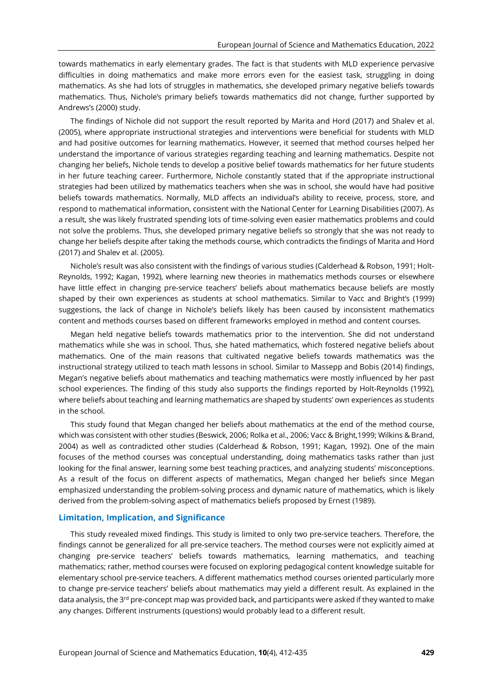towards mathematics in early elementary grades. The fact is that students with MLD experience pervasive difficulties in doing mathematics and make more errors even for the easiest task, struggling in doing mathematics. As she had lots of struggles in mathematics, she developed primary negative beliefs towards mathematics. Thus, Nichole's primary beliefs towards mathematics did not change, further supported by Andrews's (2000) study.

The findings of Nichole did not support the result reported by Marita and Hord (2017) and Shalev et al. (2005), where appropriate instructional strategies and interventions were beneficial for students with MLD and had positive outcomes for learning mathematics. However, it seemed that method courses helped her understand the importance of various strategies regarding teaching and learning mathematics. Despite not changing her beliefs, Nichole tends to develop a positive belief towards mathematics for her future students in her future teaching career. Furthermore, Nichole constantly stated that if the appropriate instructional strategies had been utilized by mathematics teachers when she was in school, she would have had positive beliefs towards mathematics. Normally, MLD affects an individual's ability to receive, process, store, and respond to mathematical information, consistent with the National Center for Learning Disabilities (2007). As a result, she was likely frustrated spending lots of time-solving even easier mathematics problems and could not solve the problems. Thus, she developed primary negative beliefs so strongly that she was not ready to change her beliefs despite after taking the methods course, which contradicts the findings of Marita and Hord (2017) and Shalev et al. (2005).

Nichole's result was also consistent with the findings of various studies (Calderhead & Robson, 1991; Holt-Reynolds, 1992; Kagan, 1992), where learning new theories in mathematics methods courses or elsewhere have little effect in changing pre-service teachers' beliefs about mathematics because beliefs are mostly shaped by their own experiences as students at school mathematics. Similar to Vacc and Bright's (1999) suggestions, the lack of change in Nichole's beliefs likely has been caused by inconsistent mathematics content and methods courses based on different frameworks employed in method and content courses.

Megan held negative beliefs towards mathematics prior to the intervention. She did not understand mathematics while she was in school. Thus, she hated mathematics, which fostered negative beliefs about mathematics. One of the main reasons that cultivated negative beliefs towards mathematics was the instructional strategy utilized to teach math lessons in school. Similar to Massepp and Bobis (2014) findings, Megan's negative beliefs about mathematics and teaching mathematics were mostly influenced by her past school experiences. The finding of this study also supports the findings reported by Holt-Reynolds (1992), where beliefs about teaching and learning mathematics are shaped by students' own experiences as students in the school.

This study found that Megan changed her beliefs about mathematics at the end of the method course, which was consistent with other studies (Beswick, 2006; Rolka et al., 2006; Vacc & Bright,1999; Wilkins & Brand, 2004) as well as contradicted other studies (Calderhead & Robson, 1991; Kagan, 1992). One of the main focuses of the method courses was conceptual understanding, doing mathematics tasks rather than just looking for the final answer, learning some best teaching practices, and analyzing students' misconceptions. As a result of the focus on different aspects of mathematics, Megan changed her beliefs since Megan emphasized understanding the problem-solving process and dynamic nature of mathematics, which is likely derived from the problem-solving aspect of mathematics beliefs proposed by Ernest (1989).

#### **Limitation, Implication, and Significance**

This study revealed mixed findings. This study is limited to only two pre-service teachers. Therefore, the findings cannot be generalized for all pre-service teachers. The method courses were not explicitly aimed at changing pre-service teachers' beliefs towards mathematics, learning mathematics, and teaching mathematics; rather, method courses were focused on exploring pedagogical content knowledge suitable for elementary school pre-service teachers. A different mathematics method courses oriented particularly more to change pre-service teachers' beliefs about mathematics may yield a different result. As explained in the data analysis, the 3<sup>rd</sup> pre-concept map was provided back, and participants were asked if they wanted to make any changes. Different instruments (questions) would probably lead to a different result.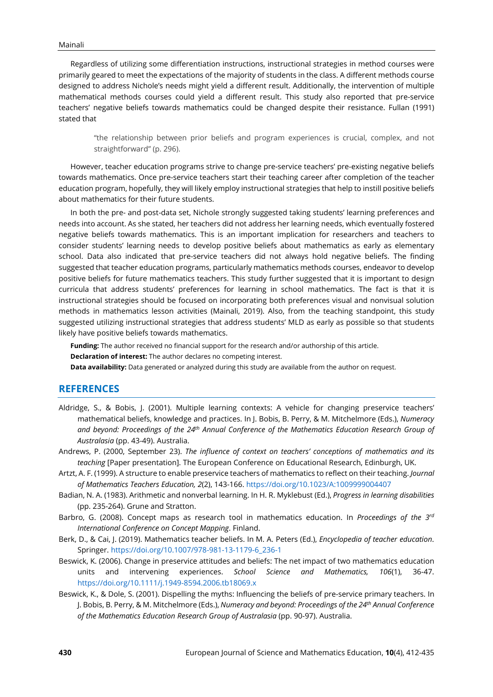Regardless of utilizing some differentiation instructions, instructional strategies in method courses were primarily geared to meet the expectations of the majority of students in the class. A different methods course designed to address Nichole's needs might yield a different result. Additionally, the intervention of multiple mathematical methods courses could yield a different result. This study also reported that pre-service teachers' negative beliefs towards mathematics could be changed despite their resistance. Fullan (1991) stated that

"the relationship between prior beliefs and program experiences is crucial, complex, and not straightforward" (p. 296).

However, teacher education programs strive to change pre-service teachers' pre-existing negative beliefs towards mathematics. Once pre-service teachers start their teaching career after completion of the teacher education program, hopefully, they will likely employ instructional strategies that help to instill positive beliefs about mathematics for their future students.

In both the pre- and post-data set, Nichole strongly suggested taking students' learning preferences and needs into account. As she stated, her teachers did not address her learning needs, which eventually fostered negative beliefs towards mathematics. This is an important implication for researchers and teachers to consider students' learning needs to develop positive beliefs about mathematics as early as elementary school. Data also indicated that pre-service teachers did not always hold negative beliefs. The finding suggested that teacher education programs, particularly mathematics methods courses, endeavor to develop positive beliefs for future mathematics teachers. This study further suggested that it is important to design curricula that address students' preferences for learning in school mathematics. The fact is that it is instructional strategies should be focused on incorporating both preferences visual and nonvisual solution methods in mathematics lesson activities (Mainali, 2019). Also, from the teaching standpoint, this study suggested utilizing instructional strategies that address students' MLD as early as possible so that students likely have positive beliefs towards mathematics.

**Funding:** The author received no financial support for the research and/or authorship of this article.

**Declaration of interest:** The author declares no competing interest.

**Data availability:** Data generated or analyzed during this study are available from the author on request.

## **REFERENCES**

- Aldridge, S., & Bobis, J. (2001). Multiple learning contexts: A vehicle for changing preservice teachers' mathematical beliefs, knowledge and practices. In J. Bobis, B. Perry, & M. Mitchelmore (Eds.), *Numeracy and beyond: Proceedings of the 24th Annual Conference of the Mathematics Education Research Group of Australasia* (pp. 43-49). Australia.
- Andrews, P. (2000, September 23). *The influence of context on teachers' conceptions of mathematics and its teaching* [Paper presentation]. The European Conference on Educational Research, Edinburgh, UK.
- Artzt, A. F. (1999). A structure to enable preservice teachers of mathematics to reflect on their teaching. *Journal of Mathematics Teachers Education, 2*(2), 143-166. <https://doi.org/10.1023/A:1009999004407>
- Badian, N. A. (1983). Arithmetic and nonverbal learning. In H. R. Myklebust (Ed.), *Progress in learning disabilities* (pp. 235-264). Grune and Stratton.
- Barbro, G. (2008). Concept maps as research tool in mathematics education. In *Proceedings of the 3 rd International Conference on Concept Mapping*. Finland.
- Berk, D., & Cai, J. (2019). Mathematics teacher beliefs. In M. A. Peters (Ed.), *Encyclopedia of teacher education*. Springer. [https://doi.org/10.1007/978-981-13-1179-6\\_236-1](https://doi.org/10.1007/978-981-13-1179-6_236-1)
- Beswick, K. (2006). Change in preservice attitudes and beliefs: The net impact of two mathematics education units and intervening experiences. *School Science and Mathematics, 106*(1), 36-47. <https://doi.org/10.1111/j.1949-8594.2006.tb18069.x>
- Beswick, K., & Dole, S. (2001). Dispelling the myths: Influencing the beliefs of pre-service primary teachers. In J. Bobis, B. Perry, & M. Mitchelmore (Eds.), *Numeracy and beyond: Proceedings of the 24th Annual Conference of the Mathematics Education Research Group of Australasia* (pp. 90-97). Australia.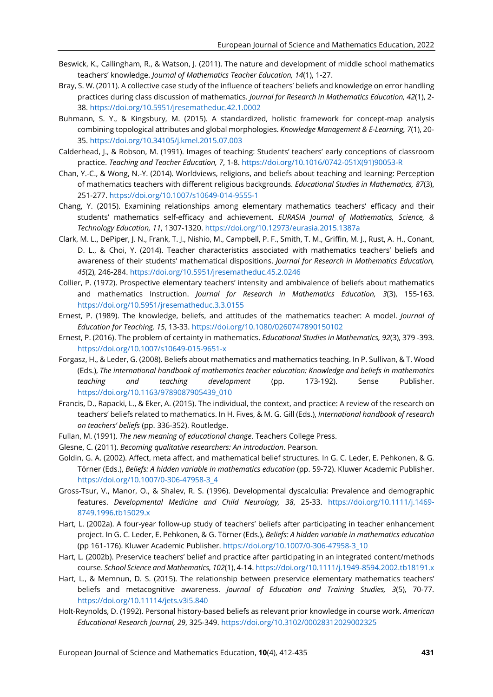- Beswick, K., Callingham, R., & Watson, J. (2011). The nature and development of middle school mathematics teachers' knowledge. *Journal of Mathematics Teacher Education, 14*(1), 1-27.
- Bray, S. W. (2011). A collective case study of the influence of teachers' beliefs and knowledge on error handling practices during class discussion of mathematics. *Journal for Research in Mathematics Education, 42*(1), 2- 38. <https://doi.org/10.5951/jresematheduc.42.1.0002>
- Buhmann, S. Y., & Kingsbury, M. (2015). A standardized, holistic framework for concept-map analysis combining topological attributes and global morphologies. *Knowledge Management & E-Learning, 7*(1), 20- 35. <https://doi.org/10.34105/j.kmel.2015.07.003>
- Calderhead, J., & Robson, M. (1991). Images of teaching: Students' teachers' early conceptions of classroom practice. *Teaching and Teacher Education, 7*, 1-8. [https://doi.org/10.1016/0742-051X\(91\)90053-R](https://doi.org/10.1016/0742-051X(91)90053-R)
- Chan, Y.-C., & Wong, N.-Y. (2014). Worldviews, religions, and beliefs about teaching and learning: Perception of mathematics teachers with different religious backgrounds. *Educational Studies in Mathematics, 87*(3), 251-277. <https://doi.org/10.1007/s10649-014-9555-1>
- Chang, Y. (2015). Examining relationships among elementary mathematics teachers' efficacy and their students' mathematics self-efficacy and achievement. *EURASIA Journal of Mathematics, Science, & Technology Education, 11*, 1307-1320. <https://doi.org/10.12973/eurasia.2015.1387a>
- Clark, M. L., DePiper, J. N., Frank, T. J., Nishio, M., Campbell, P. F., Smith, T. M., Griffin, M. J., Rust, A. H., Conant, D. L., & Choi, Y. (2014). Teacher characteristics associated with mathematics teachers' beliefs and awareness of their students' mathematical dispositions. *Journal for Research in Mathematics Education, 45*(2), 246-284. <https://doi.org/10.5951/jresematheduc.45.2.0246>
- Collier, P. (1972). Prospective elementary teachers' intensity and ambivalence of beliefs about mathematics and mathematics Instruction. *Journal for Research in Mathematics Education, 3*(3), 155-163. <https://doi.org/10.5951/jresematheduc.3.3.0155>
- Ernest, P. (1989). The knowledge, beliefs, and attitudes of the mathematics teacher: A model. *Journal of Education for Teaching, 15*, 13-33. <https://doi.org/10.1080/0260747890150102>
- Ernest, P. (2016). The problem of certainty in mathematics. *Educational Studies in Mathematics, 92*(3), 379 -393. <https://doi.org/10.1007/s10649-015-9651-x>
- Forgasz, H., & Leder, G. (2008). Beliefs about mathematics and mathematics teaching. In P. Sullivan, & T. Wood (Eds.), *The international handbook of mathematics teacher education: Knowledge and beliefs in mathematics teaching and teaching development* (pp. 173-192). Sense Publisher. [https://doi.org/10.1163/9789087905439\\_010](https://doi.org/10.1163/9789087905439_010)
- Francis, D., Rapacki, L., & Eker, A. (2015). The individual, the context, and practice: A review of the research on teachers' beliefs related to mathematics. In H. Fives, & M. G. Gill (Eds.), *International handbook of research on teachers' beliefs* (pp. 336-352). Routledge.
- Fullan, M. (1991). *The new meaning of educational change*. Teachers College Press.
- Glesne, C. (2011). *Becoming qualitative researchers: An introduction*. Pearson.
- Goldin, G. A. (2002). Affect, meta affect, and mathematical belief structures. In G. C. Leder, E. Pehkonen, & G. Törner (Eds.), *Beliefs: A hidden variable in mathematics education* (pp. 59-72). Kluwer Academic Publisher. [https://doi.org/10.1007/0-306-47958-3\\_4](https://doi.org/10.1007/0-306-47958-3_4)
- Gross-Tsur, V., Manor, O., & Shalev, R. S. (1996). Developmental dyscalculia: Prevalence and demographic features. *Developmental Medicine and Child Neurology, 38*, 25-33. [https://doi.org/10.1111/j.1469-](https://doi.org/10.1111/j.1469-8749.1996.tb15029.x) [8749.1996.tb15029.x](https://doi.org/10.1111/j.1469-8749.1996.tb15029.x)
- Hart, L. (2002a). A four-year follow-up study of teachers' beliefs after participating in teacher enhancement project. In G. C. Leder, E. Pehkonen, & G. Törner (Eds.), *Beliefs: A hidden variable in mathematics education* (pp 161-176). Kluwer Academic Publisher. [https://doi.org/10.1007/0-306-47958-3\\_10](https://doi.org/10.1007/0-306-47958-3_10)
- Hart, L. (2002b). Preservice teachers' belief and practice after participating in an integrated content/methods course. *School Science and Mathematics, 102*(1), 4-14. <https://doi.org/10.1111/j.1949-8594.2002.tb18191.x>
- Hart, L., & Memnun, D. S. (2015). The relationship between preservice elementary mathematics teachers' beliefs and metacognitive awareness. *Journal of Education and Training Studies, 3*(5), 70-77. <https://doi.org/10.11114/jets.v3i5.840>
- Holt-Reynolds, D. (1992). Personal history-based beliefs as relevant prior knowledge in course work. *American Educational Research Journal, 29*, 325-349. <https://doi.org/10.3102/00028312029002325>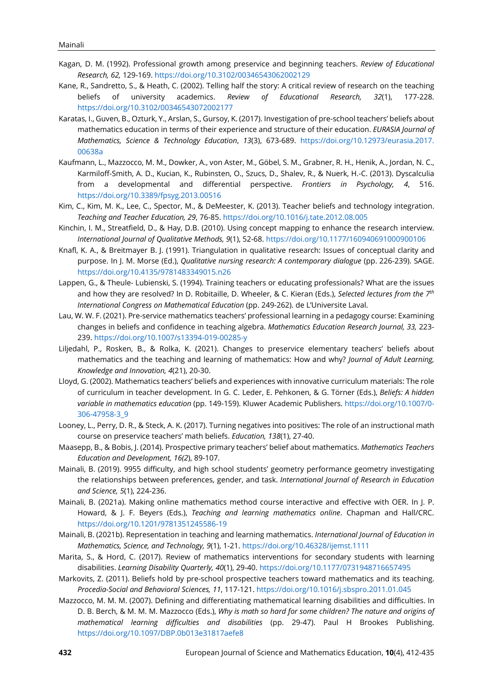- Kagan, D. M. (1992). Professional growth among preservice and beginning teachers. *Review of Educational Research, 62,* 129-169. <https://doi.org/10.3102/00346543062002129>
- Kane, R., Sandretto, S., & Heath, C. (2002). Telling half the story: A critical review of research on the teaching beliefs of university academics. *Review of Educational Research, 32*(1), 177-228. <https://doi.org/10.3102/00346543072002177>
- Karatas, I., Guven, B., Ozturk, Y., Arslan, S., Gursoy, K. (2017). Investigation of pre-school teachers' beliefs about mathematics education in terms of their experience and structure of their education. *EURASIA Journal of Mathematics, Science & Technology Education*, *13*(3), 673-689. [https://doi.org/10.12973/eurasia.2017.](https://doi.org/10.12973/eurasia.2017.%0b00638a) [00638a](https://doi.org/10.12973/eurasia.2017.%0b00638a)
- Kaufmann, L., Mazzocco, M. M., Dowker, A., von Aster, M., Göbel, S. M., Grabner, R. H., Henik, A., Jordan, N. C., Karmiloff-Smith, A. D., Kucian, K., Rubinsten, O., Szucs, D., Shalev, R., & Nuerk, H.-C. (2013). Dyscalculia from a developmental and differential perspective. *Frontiers in Psychology, 4*, 516. <https://doi.org/10.3389/fpsyg.2013.00516>
- Kim, C., Kim, M. K., Lee, C., Spector, M., & DeMeester, K. (2013). Teacher beliefs and technology integration. *Teaching and Teacher Education, 29*, 76-85. <https://doi.org/10.1016/j.tate.2012.08.005>
- Kinchin, I. M., Streatfield, D., & Hay, D.B. (2010). Using concept mapping to enhance the research interview. *International Journal of Qualitative Methods, 9*(1), 52-68. <https://doi.org/10.1177/160940691000900106>
- Knafl, K. A., & Breitmayer B. J. (1991). Triangulation in qualitative research: Issues of conceptual clarity and purpose. In J. M. Morse (Ed.), *Qualitative nursing research: A contemporary dialogue* (pp. 226-239). SAGE. <https://doi.org/10.4135/9781483349015.n26>
- Lappen, G., & Theule- Lubienski, S. (1994). Training teachers or educating professionals? What are the issues and how they are resolved? In D. Robitaille, D. Wheeler, & C. Kieran (Eds.), *Selected lectures from the 7 th International Congress on Mathematical Education* (pp. 249-262). de L'Universite Laval.
- Lau, W. W. F. (2021). Pre-service mathematics teachers' professional learning in a pedagogy course: Examining changes in beliefs and confidence in teaching algebra. *Mathematics Education Research Journal, 33,* 223- 239. <https://doi.org/10.1007/s13394-019-00285-y>
- Liljedahl, P., Rosken, B., & Rolka, K. (2021). Changes to preservice elementary teachers' beliefs about mathematics and the teaching and learning of mathematics: How and why? *Journal of Adult Learning, Knowledge and Innovation, 4*(21), 20-30.
- Lloyd, G. (2002). Mathematics teachers' beliefs and experiences with innovative curriculum materials: The role of curriculum in teacher development. In G. C. Leder, E. Pehkonen, & G. Törner (Eds.), *Beliefs: A hidden variable in mathematics education* (pp. 149-159). Kluwer Academic Publishers. [https://doi.org/10.1007/0-](https://doi.org/10.1007/0-306-47958-3_9) [306-47958-3\\_9](https://doi.org/10.1007/0-306-47958-3_9)
- Looney, L., Perry, D. R., & Steck, A. K. (2017). Turning negatives into positives: The role of an instructional math course on preservice teachers' math beliefs. *Education, 138*(1), 27-40.
- Maasepp, B., & Bobis, J. (2014). Prospective primary teachers' belief about mathematics. *Mathematics Teachers Education and Development, 16(2*), 89-107.
- Mainali, B. (2019). 9955 difficulty, and high school students' geometry performance geometry investigating the relationships between preferences, gender, and task. *International Journal of Research in Education and Science, 5*(1), 224-236.
- Mainali, B. (2021a). Making online mathematics method course interactive and effective with OER. In J. P. Howard, & J. F. Beyers (Eds.), *Teaching and learning mathematics online*. Chapman and Hall/CRC. <https://doi.org/10.1201/9781351245586-19>
- Mainali, B. (2021b). Representation in teaching and learning mathematics. *International Journal of Education in Mathematics, Science, and Technology, 9*(1), 1-21. <https://doi.org/10.46328/ijemst.1111>
- Marita, S., & Hord, C. (2017). Review of mathematics interventions for secondary students with learning disabilities. *Learning Disability Quarterly, 40*(1), 29-40. <https://doi.org/10.1177/0731948716657495>
- Markovits, Z. (2011). Beliefs hold by pre-school prospective teachers toward mathematics and its teaching. *Procedia-Social and Behavioral Sciences, 11*, 117-121. <https://doi.org/10.1016/j.sbspro.2011.01.045>
- Mazzocco, M. M. M. (2007). Defining and differentiating mathematical learning disabilities and difficulties. In D. B. Berch, & M. M. M. Mazzocco (Eds.), *Why is math so hard for some children? The nature and origins of mathematical learning difficulties and disabilities* (pp. 29-47). Paul H Brookes Publishing. <https://doi.org/10.1097/DBP.0b013e31817aefe8>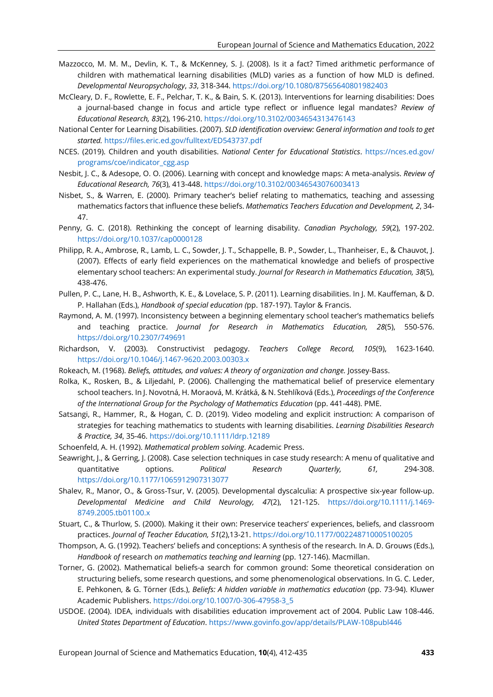- Mazzocco, M. M. M., Devlin, K. T., & McKenney, S. J. (2008). Is it a fact? Timed arithmetic performance of children with mathematical learning disabilities (MLD) varies as a function of how MLD is defined. *Developmental Neuropsychology*, *33*, 318-344. <https://doi.org/10.1080/87565640801982403>
- McCleary, D. F., Rowlette, E. F., Pelchar, T. K., & Bain, S. K. (2013). Interventions for learning disabilities: Does a journal-based change in focus and article type reflect or influence legal mandates? *Review of Educational Research, 83*(2), 196-210. <https://doi.org/10.3102/0034654313476143>
- National Center for Learning Disabilities. (2007). *SLD identification overview: General information and tools to get started.* <https://files.eric.ed.gov/fulltext/ED543737.pdf>
- NCES. (2019). Children and youth disabilities. *National Center for Educational Statistics*. [https://nces.ed.gov/](https://nces.ed.gov/%0bprograms/coe/indicator_cgg.asp) [programs/coe/indicator\\_cgg.asp](https://nces.ed.gov/%0bprograms/coe/indicator_cgg.asp)
- Nesbit, J. C., & Adesope, O. O. (2006). Learning with concept and knowledge maps: A meta-analysis. *Review of Educational Research, 76*(3), 413-448. <https://doi.org/10.3102/00346543076003413>
- Nisbet, S., & Warren, E. (2000). Primary teacher's belief relating to mathematics, teaching and assessing mathematics factors that influence these beliefs. *Mathematics Teachers Education and Development, 2*, 34- 47.
- Penny, G. C. (2018). Rethinking the concept of learning disability. *Canadian Psychology, 59*(2), 197-202. <https://doi.org/10.1037/cap0000128>
- Philipp, R. A., Ambrose, R., Lamb, L. C., Sowder, J. T., Schappelle, B. P., Sowder, L., Thanheiser, E., & Chauvot, J. (2007). Effects of early field experiences on the mathematical knowledge and beliefs of prospective elementary school teachers: An experimental study. *Journal for Research in Mathematics Education, 38*(5), 438-476.
- Pullen, P. C., Lane, H. B., Ashworth, K. E., & Lovelace, S. P. (2011). Learning disabilities. In J. M. Kauffeman, & D. P. Hallahan (Eds.), *Handbook of special education (*pp. 187-197). Taylor & Francis.
- Raymond, A. M. (1997). Inconsistency between a beginning elementary school teacher's mathematics beliefs and teaching practice. *Journal for Research in Mathematics Education, 28*(5), 550-576. <https://doi.org/10.2307/749691>
- Richardson, V. (2003). Constructivist pedagogy. *Teachers College Record, 105*(9), 1623-1640. <https://doi.org/10.1046/j.1467-9620.2003.00303.x>
- Rokeach, M. (1968). *Beliefs, attitudes, and values: A theory of organization and change.* Jossey-Bass.
- Rolka, K., Rosken, B., & Liljedahl, P. (2006). Challenging the mathematical belief of preservice elementary school teachers. In J. Novotná, H. Moraová, M. Krátká, & N. Stehlíková (Eds.), *Proceedings of the Conference of the International Group for the Psychology of Mathematics Education* (pp. 441-448). PME.
- Satsangi, R., Hammer, R., & Hogan, C. D. (2019). Video modeling and explicit instruction: A comparison of strategies for teaching mathematics to students with learning disabilities. *Learning Disabilities Research & Practice, 34*, 35-46. <https://doi.org/10.1111/ldrp.12189>
- Schoenfeld, A. H. (1992). *Mathematical problem solving*. Academic Press.
- Seawright, J., & Gerring, J. (2008). Case selection techniques in case study research: A menu of qualitative and quantitative options. *Political Research Quarterly, 61,* 294-308. <https://doi.org/10.1177/1065912907313077>
- Shalev, R., Manor, O., & Gross-Tsur, V. (2005). Developmental dyscalculia: A prospective six-year follow-up. *Developmental Medicine and Child Neurology, 47*(2), 121-125. [https://doi.org/10.1111/j.1469-](https://doi.org/10.1111/j.1469-8749.2005.tb01100.x) [8749.2005.tb01100.x](https://doi.org/10.1111/j.1469-8749.2005.tb01100.x)
- Stuart, C., & Thurlow, S. (2000). Making it their own: Preservice teachers' experiences, beliefs, and classroom practices. *Journal of Teacher Education, 51*(2),13-21. <https://doi.org/10.1177/002248710005100205>
- Thompson, A. G. (1992). Teachers' beliefs and conceptions: A synthesis of the research*.* In A. D. Grouws (Eds.), *Handbook of* research *on mathematics teaching and learning* (pp. 127-146). Macmillan.
- Torner, G. (2002). Mathematical beliefs-a search for common ground: Some theoretical consideration on structuring beliefs, some research questions, and some phenomenological observations. In G. C. Leder, E. Pehkonen, & G. Törner (Eds.), *Beliefs: A hidden variable in mathematics education* (pp. 73-94). Kluwer Academic Publishers. [https://doi.org/10.1007/0-306-47958-3\\_5](https://doi.org/10.1007/0-306-47958-3_5)
- USDOE. (2004). IDEA, individuals with disabilities education improvement act of 2004. Public Law 108-446. *United States Department of Education*. <https://www.govinfo.gov/app/details/PLAW-108publ446>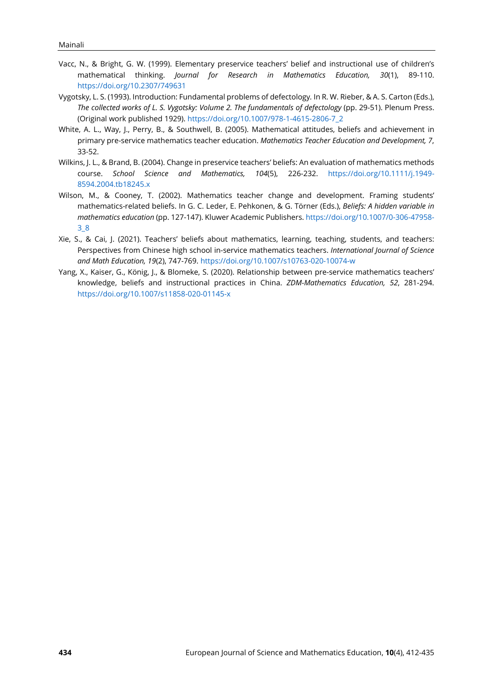- Vacc, N., & Bright, G. W. (1999). Elementary preservice teachers' belief and instructional use of children's mathematical thinking. *Journal for Research in Mathematics Education, 30*(1), 89-110. <https://doi.org/10.2307/749631>
- Vygotsky, L. S. (1993). Introduction: Fundamental problems of defectology*.* In R. W. Rieber, & A. S. Carton (Eds.), *The collected works of L. S. Vygotsky: Volume 2. The fundamentals of defectology* (pp. 29-51). Plenum Press. (Original work published 1929). [https://doi.org/10.1007/978-1-4615-2806-7\\_2](https://doi.org/10.1007/978-1-4615-2806-7_2)
- White, A. L., Way, J., Perry, B., & Southwell, B. (2005). Mathematical attitudes, beliefs and achievement in primary pre-service mathematics teacher education. *Mathematics Teacher Education and Development, 7*, 33-52.
- Wilkins, J. L., & Brand, B. (2004). Change in preservice teachers' beliefs: An evaluation of mathematics methods course. *School Science and Mathematics, 104*(5), 226-232. [https://doi.org/10.1111/j.1949-](https://doi.org/10.1111/j.1949-8594.2004.tb18245.x) [8594.2004.tb18245.x](https://doi.org/10.1111/j.1949-8594.2004.tb18245.x)
- Wilson, M., & Cooney, T. (2002). Mathematics teacher change and development. Framing students' mathematics-related beliefs. In G. C. Leder, E. Pehkonen, & G. Törner (Eds.), *Beliefs: A hidden variable in mathematics education* (pp. 127-147). Kluwer Academic Publishers. [https://doi.org/10.1007/0-306-47958-](https://doi.org/10.1007/0-306-47958-3_8) [3\\_8](https://doi.org/10.1007/0-306-47958-3_8)
- Xie, S., & Cai, J. (2021). Teachers' beliefs about mathematics, learning, teaching, students, and teachers: Perspectives from Chinese high school in-service mathematics teachers. *International Journal of Science and Math Education, 19*(2), 747-769. <https://doi.org/10.1007/s10763-020-10074-w>
- Yang, X., Kaiser, G., König, J., & Blomeke, S. (2020). Relationship between pre-service mathematics teachers' knowledge, beliefs and instructional practices in China. *ZDM-Mathematics Education, 52*, 281-294. <https://doi.org/10.1007/s11858-020-01145-x>